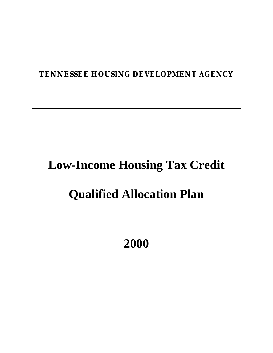# **TENNESSEE HOUSING DEVELOPMENT AGENCY**

# **Low-Income Housing Tax Credit**

# **Qualified Allocation Plan**

**2000**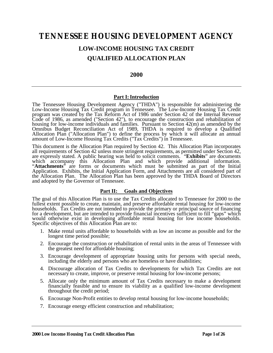# **TENNESSEE HOUSING DEVELOPMENT AGENCY**

# **LOW-INCOME HOUSING TAX CREDIT QUALIFIED ALLOCATION PLAN**

#### **2000**

#### **Part I: Introduction**

The Tennessee Housing Development Agency ("THDA") is responsible for administering the Low-Income Housing Tax Credit program in Tennessee. The Low-Income Housing Tax Credit program was created by the Tax Reform Act of 1986 under Section 42 of the Internal Revenue Code of 1986, as amended ("Section 42"), to encourage the construction and rehabilitation of housing for low-income individuals and families. Pursuant to Section 42(m) as amended by the Omnibus Budget Reconciliation Act of 1989, THDA is required to develop a Qualified Allocation Plan ("Allocation Plan") to define the process by which it will allocate an annual amount of Low-Income Housing Tax Credits ("Tax Credits") in Tennessee.

This document is the Allocation Plan required by Section 42. This Allocation Plan incorporates all requirements of Section 42 unless more stringent requirements, as permitted under Section 42, are expressly stated. A public hearing was held to solicit comments. "**Exhibits**" are documents which accompany this Allocation Plan and which provide additional information. "**Attachments**" are forms or documents which must be submitted as part of the Initial Application. Exhibits, the Initial Application Form, and Attachments are all considered part of the Allocation Plan. The Allocation Plan has been approved by the THDA Board of Directors and adopted by the Governor of Tennessee.

#### **Part II: Goals and Objectives**

The goal of this Allocation Plan is to use the Tax Credits allocated to Tennessee for 2000 to the fullest extent possible to create, maintain, and preserve affordable rental housing for low-income households. Tax Credits are not intended to provide the primary or principal source of financing for a development, but are intended to provide financial incentives sufficient to fill "gaps" which would otherwise exist in developing affordable rental housing for low income households. Specific objectives of this Allocation Plan are to:

- 1. Make rental units affordable to households with as low an income as possible and for the longest time period possible;
- 2. Encourage the construction or rehabilitation of rental units in the areas of Tennessee with the greatest need for affordable housing;
- 3. Encourage development of appropriate housing units for persons with special needs, including the elderly and persons who are homeless or have disabilities;
- 4. Discourage allocation of Tax Credits to developments for which Tax Credits are not necessary to create, improve, or preserve rental housing for low-income persons;
- 5. Allocate only the minimum amount of Tax Credits necessary to make a development financially feasible and to ensure its viability as a qualified low-income development throughout the credit period;
- 6. Encourage Non-Profit entities to develop rental housing for low-income households;
- 7. Encourage energy efficient construction and rehabilitation;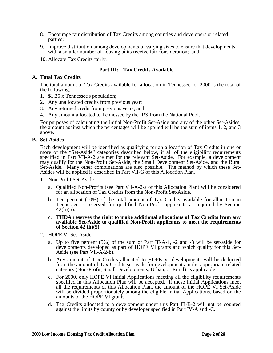- 8. Encourage fair distribution of Tax Credits among counties and developers or related parties;
- 9. Improve distribution among developments of varying sizes to ensure that developments with a smaller number of housing units receive fair consideration; and
- 10. Allocate Tax Credits fairly.

### **Part III: Tax Credits Available**

#### **A. Total Tax Credits**

The total amount of Tax Credits available for allocation in Tennessee for 2000 is the total of the following:

- 1. \$1.25 x Tennessee's population;
- 2. Any unallocated credits from previous year;
- 3. Any returned credit from previous years; and
- 4. Any amount allocated to Tennessee by the IRS from the National Pool.

For purposes of calculating the initial Non-Profit Set-Aside and any of the other Set-Asides, the amount against which the percentages will be applied will be the sum of items 1, 2, and 3 above.

#### **B. Set-Asides**

Each development will be identified as qualifying for an allocation of Tax Credits in one or more of the "Set-Aside" categories described below, if all of the eligibility requirements specified in Part VII-A-2 are met for the relevant Set-Aside. For example, a development may qualify for the Non-Profit Set-Aside, the Small Development Set-Aside, and the Rural Set-Aside. Many other combinations are also possible. The method by which these Set-Asides will be applied is described in Part VII-G of this Allocation Plan.

- 1. Non-Profit Set-Aside
	- a. Qualified Non-Profits (see Part VII-A-2-a of this Allocation Plan) will be considered for an allocation of Tax Credits from the Non-Profit Set-Aside.
	- b. Ten percent (10%) of the total amount of Tax Credits available for allocation in Tennessee is reserved for qualified Non-Profit applicants as required by Section  $42(h)(5)$ .
	- c. **THDA reserves the right to make additional allocations of Tax Credits from any available Set-Aside to qualified Non-Profit applicants to meet the requirements of Section 42 (h)(5).**
- 2. HOPE VI Set-Aside
	- a. Up to five percent (5%) of the sum of Part III-A-1, -2 and -3 will be set-aside for developments developed as part of HOPE VI grants and which qualify for this Set-Aside (see Part VII-A-2-b).
	- b. Any amount of Tax Credits allocated to HOPE VI developments will be deducted from the amount of Tax Credits set-aside for developments in the appropriate related category (Non-Profit, Small Developments, Urban, or Rural) as applicable.
	- c. For 2000, only HOPE VI Initial Applications meeting all the eligibility requirements specified in this Allocation Plan will be accepted. If these Initial Applications meet all the requirements of this Allocation Plan, the amount of the HOPE VI Set-Aside will be divided proportionately among the eligible Initial Applications, based on the amounts of the HOPE VI grants.
	- d. Tax Credits allocated to a development under this Part III-B-2 will not be counted against the limits by county or by developer specified in Part IV-A and -C.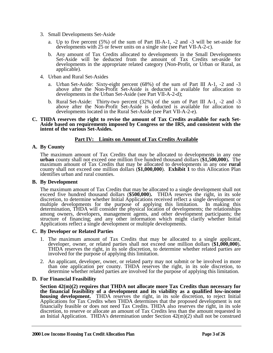- 3. Small Developments Set-Aside
	- a. Up to five percent (5%) of the sum of Part III-A-1, -2 and -3 will be set-aside for developments with 25 or fewer units on a single site (see Part VII-A-2-c).
	- b. Any amount of Tax Credits allocated to developments in the Small Developments Set-Aside will be deducted from the amount of Tax Credits set-aside for developments in the appropriate related category (Non-Profit, or Urban or Rural, as applicable).
- 4. Urban and Rural Set-Asides
	- a. Urban Set-Aside: Sixty-eight percent (68%) of the sum of Part III A-1, -2 and -3 above after the Non-Profit Set-Aside is deducted is available for allocation to developments in the Urban Set-Aside (see Part VII-A-2-d);
	- b. Rural Set-Aside: Thirty-two percent (32%) of the sum of Part III A-1, -2 and -3 above after the Non-Profit Set-Aside is deducted is available for allocation to developments located in the Rural Set-Aside (see Part VII-A-2-e).
- **C. THDA reserves the right to revise the amount of Tax Credits available for each Set-Aside based on requirements imposed by Congress or the IRS, and consistent with the intent of the various Set-Asides.**

#### **Part IV: Limits on Amount of Tax Credits Available**

#### **A. By County**

The maximum amount of Tax Credits that may be allocated to developments in any one **urban** county shall not exceed one million five hundred thousand dollars (**\$1,500,000**)**.** The maximum amount of Tax Credits that may be allocated to developments in any one **rural** county shall not exceed one million dollars (**\$1,000,000**). **Exhibit 1** to this Allocation Plan identifies urban and rural counties.

#### **B. By Development**

The maximum amount of Tax Credits that may be allocated to a single development shall not exceed five hundred thousand dollars (**\$500,000**)**.** THDA reserves the right, in its sole discretion, to determine whether Initial Applications received reflect a single development or multiple developments for the purpose of applying this limitation. In making this determination, THDA will consider the physical location of developments; the relationships among owners, developers, management agents, and other development participants; the structure of financing; and any other information which might clarify whether Initial Applications reflect a single development or multiple developments.

#### **C. By Developer or Related Parties**

- 1. The maximum amount of Tax Credits that may be allocated to a single applicant, developer, owner, or related parties shall not exceed one million dollars (**\$1,000,000**)**.** THDA reserves the right, in its sole discretion, to determine whether related parties are involved for the purpose of applying this limitation.
- 2. An applicant, developer, owner, or related party may not submit or be involved in more than one application per county. THDA reserves the right, in its sole discretion, to determine whether related parties are involved for the purpose of applying this limitation.

#### **D. For Financial Feasibility**

**Section 42(m)(2) requires that THDA not allocate more Tax Credits than necessary for the financial feasibility of a development and its viability as a qualified low-income housing development.** THDA reserves the right, in its sole discretion, to reject Initial Applications for Tax Credits when THDA determines that the proposed development is not financially feasible or does not need Tax Credits. THDA also reserves the right, in its sole discretion, to reserve or allocate an amount of Tax Credits less than the amount requested in an Initial Application. THDA's determination under Section 42(m)(2) shall not be construed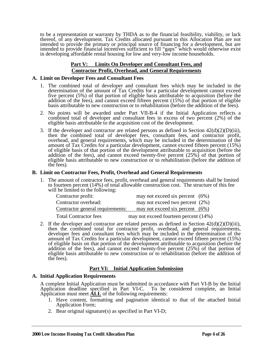to be a representation or warranty by THDA as to the financial feasibility, viability, or lack thereof, of any development. Tax Credits allocated pursuant to this Allocation Plan are not intended to provide the primary or principal source of financing for a development, but are intended to provide financial incentives sufficient to fill "gaps" which would otherwise exist in developing affordable rental housing for low and very-low income households.

#### **Part V: Limits On Developer and Consultant Fees, and Contractor Profit, Overhead, and General Requirements**

#### **A. Limit on Developer Fees and Consultant Fees**

- 1. The combined total of developer and consultant fees which may be included in the determination of the amount of Tax Credits for a particular development cannot exceed five percent (5%) of that portion of eligible basis attributable to acquisition (before the addition of the fees), and cannot exceed fifteen percent (15%) of that portion of eligible basis attributable to new construction or to rehabilitation (before the addition of the fees).
- 2. No points will be awarded under Part VII-B-4 if the Initial Application reflects a combined total of developer and consultant fees in excess of two percent (2%) of the eligible basis attributable to the acquisition cost of the development.
- 3. If the developer and contractor are related persons as defined in Section  $42(d)(2)(D)(iii)$ , then the combined total of developer fees, consultant fees, and contractor profit, overhead, and general requirements, which may be included in the determination of the amount of Tax Credits for a particular development, cannot exceed fifteen percent (15%) of eligible basis of that portion of the development attributable to acquisition (before the addition of the fees), and cannot exceed twenty-five percent (25%) of that portion of eligible basis attributable to new construction or to rehabilitation (before the addition of the fees).

#### **B. Limit on Contractor Fees, Profit, Overhead and General Requirements**

1. The amount of contractor fees, profit, overhead and general requirements shall be limited to fourteen percent (14%) of total allowable construction cost. The structure of this fee will be limited to the following:

| Contractor profit:               | may not exceed six percent $(6%)$     |  |
|----------------------------------|---------------------------------------|--|
| Contractor overhead:             | may not exceed two percent $(2\%)$    |  |
| Contractor general requirements: | may not exceed six percent $(6%)$     |  |
| <b>Total Contractor fees</b>     | may not exceed fourteen percent (14%) |  |

2. If the developer and contractor are related persons as defined in Section  $42(d)(2)(D)(iii)$ , then the combined total for contractor profit, overhead, and general requirements, developer fees and consultant fees which may be included in the determination of the amount of Tax Credits for a particular development, cannot exceed fifteen percent (15%) of eligible basis on that portion of the development attributable to acquisition (before the addition of the fees), and cannot exceed twenty-five percent  $(25%)$  of that portion of eligible basis attributable to new construction or to rehabilitation (before the addition of the fees).

#### **Part VI: Initial Application Submission**

#### **A. Initial Application Requirements**

A complete Initial Application must be submitted in accordance with Part VI-B by the Initial Application deadline specified in Part VI-C. To be considered complete, an Initial Application must meet **ALL** of the following requirements:

- 1. Have content, formatting and pagination identical to that of the attached Initial Application Form;
- 2. Bear original signature(s) as specified in Part VI-D;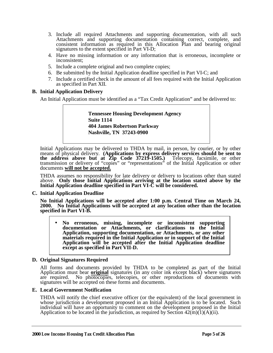- 3. Include all required Attachments and supporting documentation, with all such Attachments and supporting documentation containing correct, complete, and consistent information as required in this Allocation Plan and bearing original signatures to the extent specified in Part VI-D;
- 4. Have no missing information or any information that is erroneous, incomplete or inconsistent;
- 5. Include a complete original and two complete copies;
- 6. Be submitted by the Initial Application deadline specified in Part VI-C; and
- 7. Include a certified check in the amount of all fees required with the Initial Application as specified in Part XII.

#### **B. Initial Application Delivery**

An Initial Application must be identified as a "Tax Credit Application" and be delivered to:

**Tennessee Housing Development Agency Suite 1114 404 James Robertson Parkway Nashville, TN 37243-0900**

Initial Applications may be delivered to THDA by mail, in person, by courier, or by other means of physical delivery. **(Applications by express delivery services should be sent to the address above but at Zip Code 37219-1505.)** Telecopy, facsimile, or other transmission or delivery of "copies" or "representations" of the Initial Application or other documents **will not be accepted.**

THDA assumes no responsibility for late delivery or delivery to locations other than stated above. **Only those Initial Applications arriving at the location stated above by the Initial Application deadline specified in Part VI-C will be considered.**

#### **C. Initial Application Deadline**

**No Initial Applications will be accepted after 1:00 p.m. Central Time on March 24, 2000. No Initial Applications will be accepted at any location other than the location specified in Part VI-B.**

• **No erroneous, missing, incomplete or inconsistent supporting documentation or Attachments, or clarifications to the Initial Application, supporting documentation, or Attachments, or any other materials required in the Initial Application or in support of the Initial Application will be accepted after the Initial Application deadline except as specified in Part VII-D.**

#### **D. Original Signatures Required**

All forms and documents provided by THDA to be completed as part of the Initial Application must bear **original** signatures (in any color ink except black) where signatures are required. No photocopies, telecopies, or other reproductions of documents with signatures will be accepted on these forms and documents.

#### **E. Local Government Notification**

THDA will notify the chief executive officer (or the equivalent) of the local government in whose jurisdiction a development proposed in an Initial Application is to be located. Such individual will have an opportunity to comment on the development proposed in the Initial Application to be located in the jurisdiction, as required by Section  $42(m)(1)(A)(ii)$ .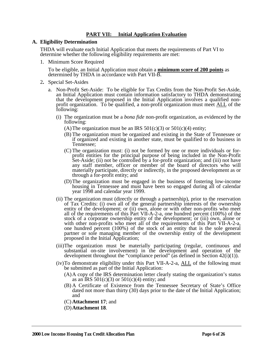### **PART VII: Initial Application Evaluation**

#### **A. Eligibility Determination**

THDA will evaluate each Initial Application that meets the requirements of Part VI to determine whether the following eligibility requirements are met:

1. Minimum Score Required

To be eligible, an Initial Application must obtain a **minimum score of 200 points** as determined by THDA in accordance with Part VII-B.

- 2**.** Special Set-Asides
	- a. Non-Profit Set-Aside: To be eligible for Tax Credits from the Non-Profit Set-Aside, an Initial Application must contain information satisfactory to THDA demonstrating that the development proposed in the Initial Application involves a qualified nonprofit organization. To be qualified, a non-profit organization must meet ALL of the following:
		- (i) The organization must be a *bona fide* non-profit organization, as evidenced by the following:
			- (A) The organization must be an IRS  $501(c)(3)$  or  $501(c)(4)$  entity;
			- (B) The organization must be organized and existing in the State of Tennessee or if organized and existing in another state, must be qualified to do business in Tennessee;
			- (C) The organization must: (i) not be formed by one or more individuals or forprofit entities for the principal purpose of being included in the Non-Profit Set-Aside; (ii) not be controlled by a for-profit organization; and (iii) not have any staff member, officer or member of the board of directors who will materially participate, directly or indirectly, in the proposed development as or through a for-profit entity; and
			- (D)The organization must be engaged in the business of fostering low-income housing in Tennessee and must have been so engaged during all of calendar year 1998 and calendar year 1999.
		- (ii) The organization must (directly or through a partnership), prior to the reservation of Tax Credits: (i) own all of the general partnership interests of the ownership entity of the development; or (ii) own, alone or with other non-profits who meet all of the requirements of this Part VII-A-2-a, one hundred percent (100%) of the stock of a corporate ownership entity of the development; or (iii) own, alone or with other non-profits who meet all of the requirements of this Part VII-A-2-a, one hundred percent (100%) of the stock of an entity that is the sole general partner or sole managing member of the ownership entity of the development proposed in the Initial Application;
		- (iii)The organization must be materially participating (regular, continuous and substantial on-site involvement) in the development and operation of the development throughout the "compliance period" (as defined in Section  $42(i)(1)$ ).
		- (iv)To demonstrate eligibility under this Part VII-A-2-a, ALL of the following must be submitted as part of the Initial Application:
			- (A)A copy of the IRS determination letter clearly stating the organization's status as an IRS  $501(c)(3)$  or  $501(c)(4)$  entity; and
			- (B) A Certificate of Existence from the Tennessee Secretary of State's Office dated not more than thirty (30) days prior to the date of the Initial Application; and
			- (C) **Attachment 17**; and
			- (D)**Attachment 18**.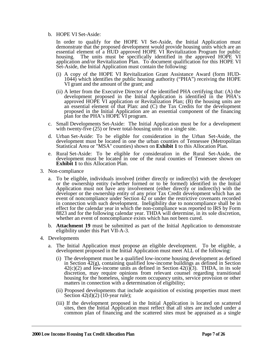#### b. HOPE VI Set-Aside:

In order to qualify for the HOPE VI Set-Aside, the Initial Application must demonstrate that the proposed development would provide housing units which are an essential element of a HUD approved HOPE VI Revitalization Program for public housing. The units must be specifically identified in the approved HOPE VI application and/or Revitalization Plan. To document qualification for this HOPE VI Set-Aside, the Initial Application must contain the following:

- (i) A copy of the HOPE VI Revitalization Grant Assistance Award (form HUD-1044) which identifies the public housing authority ("PHA") receiving the HOPE VI grant and the amount of the grant; and
- (ii) A letter from the Executive Director of the identified PHA certifying that: (A) the development proposed in the Initial Application is identified in the PHA's approved HOPE VI application or Revitalization Plan; (B) the housing units are an essential element of that Plan: and (C) the Tax Credits for the development proposed in the Initial Application are an essential component of the financing plan for the PHA's HOPE VI program.
- c. Small Developments Set-Aside: The Initial Application must be for a development with twenty-five (25) or fewer total-housing units on a single site.
- d. Urban Set-Aside: To be eligible for consideration in the Urban Set-Aside, the development must be located in one the urban counties of Tennessee (Metropolitan Statistical Area or "MSA" counties) shown on **Exhibit 1** to this Allocation Plan.
- e. Rural Set-Aside: To be eligible for consideration in the Rural Set-Aside, the development must be located in one of the rural counties of Tennessee shown on **Exhibit 1** to this Allocation Plan.
- 3. Non-compliance
	- a. To be eligible, individuals involved (either directly or indirectly) with the developer or the ownership entity (whether formed or to be formed) identified in the Initial Application must not have any involvement (either directly or indirectly) with the developer or the ownership entity of any prior Tax Credit development which has an event of noncompliance under Section 42 or under the restrictive covenants recorded in connection with such development. Ineligibility due to noncompliance shall be in effect for the calendar year in which the non-compliance was reported to IRS by Form 8823 and for the following calendar year. THDA will determine, in its sole discretion, whether an event of noncompliance exists which has not been cured.
	- b. **Attachment 19** must be submitted as part of the Initial Application to demonstrate eligibility under this Part VII-A-3.
- 4. Developments
	- a. The Initial Application must propose an eligible development. To be eligible, a development proposed in the Initial Application must meet ALL of the following:
		- (i) The development must be a qualified low-income housing development as defined in Section 42(g), containing qualified low-income buildings as defined in Section  $42(c)(2)$  and low-income units as defined in Section  $42(i)(3)$ . THDA, in its sole discretion, may require opinions from relevant counsel regarding transitional housing for the homeless, single room occupancy units, service provision or other matters in connection with a determination of eligibility;
		- (ii) Proposed developments that include acquisition of existing properties must meet Section  $42(d)(2)$  (10-year rule);
		- (iii) If the development proposed in the Initial Application is located on scattered sites, then the Initial Application must reflect that all sites are included under a common plan of financing and the scattered sites must be appraised as a single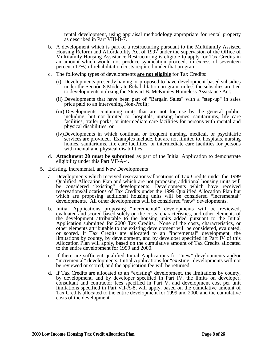rental development, using appraisal methodology appropriate for rental property as described in Part VIII-B-7.

- b. A development which is part of a restructuring pursuant to the Multifamily Assisted Housing Reform and Affordability Act of 1997 under the supervision of the Office of Multifamily Housing Assistance Restructuring is eligible to apply for Tax Credits in an amount which would not produce syndication proceeds in excess of seventeen percent (17%) of rehabilitation costs required under that program.
- c. The following types of developments **are not eligible** for Tax Credits:
	- (i) Developments presently having or proposed to have development-based subsidies under the Section 8 Moderate Rehabilitation program, unless the subsidies are tied to developments utilizing the Stewart B. McKinney Homeless Assistance Act;
	- (ii) Developments that have been part of "Bargain Sales" with a "step-up" in sales price paid to an intervening Non-Profit;
	- (iii) Developments containing units that are not for use by the general public, including, but not limited to, hospitals, nursing homes, sanitariums, life care facilities, trailer parks, or intermediate care facilities for persons with mental and physical disabilities; or
	- (iv)Developments in which continual or frequent nursing, medical, or psychiatric services are provided. Examples include, but are not limited to, hospitals, nursing homes, sanitariums, life care facilities, or intermediate care facilities for persons with mental and physical disabilities.
- d. **Attachment 20 must be submitted** as part of the Initial Application to demonstrate eligibility under this Part VII-A-4.
- 5. Existing, Incremental, and New Developments
	- a. Developments which received reservations/allocations of Tax Credits under the 1999 Qualified Allocation Plan and which are not proposing additional housing units will be considered "existing" developments. Developments which have received reservations/allocations of Tax Credits under the 1999 Qualified Allocation Plan but which are proposing additional housing units will be considered "incremental" developments. All other developments will be considered "new" developments.
	- b. Initial Applications proposing "incremental" developments will be reviewed, evaluated and scored based solely on the costs, characteristics, and other elements of the development attributable to the housing units added pursuant to the Initial Application submitted for 2000 Tax Credits. None of the costs, characteristics, or other elements attributable to the existing development will be considered, evaluated, or scored. If Tax Credits are allocated to an "incremental" development, the limitations by county, by development, and by developer specified in Part IV of this Allocation Plan will apply, based on the cumulative amount of Tax Credits allocated to the entire development for 1999 and 2000.
	- c. If there are sufficient qualified Initial Applications for "new" developments and/or "incremental" developments, Initial Applications for "existing" developments will not be reviewed or scored, and the application fee will be returned.
	- d. If Tax Credits are allocated to an "existing" development, the limitations by county, by development, and by developer specified in Part IV, the limits on developer, consultant and contractor fees specified in Part V, and development cost per unit limitations specified in Part VII-A-8, will apply, based on the cumulative amount of Tax Credits allocated to the entire development for 1999 and 2000 and the cumulative costs of the development.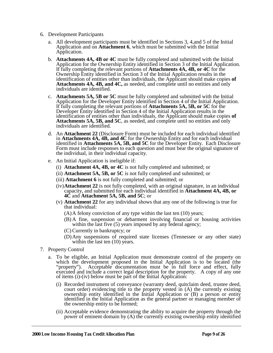- 6. Development Participants
	- a. All development participants must be identified in Sections 3, 4,and 5 of the Initial Application and on **Attachment 6**, which must be submitted with the Initial Application.
	- b. **Attachments 4A, 4B or 4C** must be fully completed and submitted with the Initial Application for the Ownership Entity identified in Section 3 of the Initial Application. If fully completing the relevant portions of **Attachments 4A, 4B, or 4C** for the Ownership Entity identified in Section 3 of the Initial Application results in the identification of entities other than individuals, the Applicant should make copies **of Attachments 4A, 4B, and 4C,** as needed, and complete until no entities and only individuals are identified.
	- c. **Attachments 5A, 5B or 5C** must be fully completed and submitted with the Initial Application for the Developer Entity identified in Section 4 of the Initial Application. If fully completing the relevant portions of **Attachments 5A, 5B, or 5C** for the Developer Entity identified in Section 4 of the Initial Application results in the identification of entities other than individuals, the Applicant should make copies **of Attachments 5A, 5B, and 5C**, as needed, and complete until no entities and only individuals are identified.
	- d. An **Attachment 22** (Disclosure Form) must be included for each individual identified in **Attachments 4A, 4B, and 4C** for the Ownership Entity and for each individual identified in **Attachments 5A, 5B, and 5C** for the Developer Entity. Each Disclosure Form must include responses to each question and must bear the original signature of the individual, in their individual capacity.
	- e. An Initial Application is ineligible if:
		- (i) **Attachment 4A, 4B, or 4C** is not fully completed and submitted; or
		- (ii) **Attachment 5A, 5B, or 5C** is not fully completed and submitted; or
		- (iii) **Attachment 6** is not fully completed and submitted; or
		- (iv)**Attachment 22** is not fully completed, with an original signature, in an individual capacity, and submitted for each individual identified in **Attachment 4A, 4B, or 4C** and **Attachment 5A, 5B, and 5C**; or
		- (v) **Attachment 22** for any individual shows that any one of the following is true for that individual:
			- (A)A felony conviction of any type within the last ten (10) years;
			- (B) A fine, suspension or debarment involving financial or housing activities within the last five (5) years imposed by any federal agency;
			- (C) Currently in bankruptcy; or
			- (D)Any suspensions of required state licenses (Tennessee or any other state) within the last ten (10) years.
- 7. Property Control
	- a. To be eligible, an Initial Application must demonstrate control of the property on which the development proposed in the Initial Application is to be located (the "property"). Acceptable documentation must be in full force and effect, fully Acceptable documentation must be in full force and effect, fully executed and include a correct legal description for the property. A copy of any one of items (i)-(iv) below must be part of the Initial Application:
		- (i) Recorded instrument of conveyance (warranty deed, quitclaim deed, trustee deed, court order) evidencing title to the property vested in (A) the currently existing ownership entity identified in the Initial Application or (B) a person or entity identified in the Initial Application as the general partner or managing member of the ownership entity to be formed;
		- (ii) Acceptable evidence demonstrating the ability to acquire the property through the power of eminent domain by (A) the currently existing ownership entity identified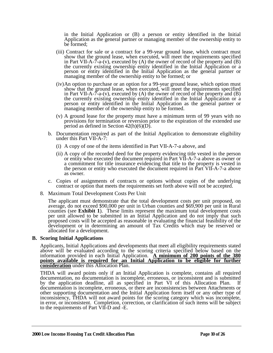in the Initial Application or (B) a person or entity identified in the Initial Application as the general partner or managing member of the ownership entity to be formed;

- (iii) Contract for sale or a contract for a 99-year ground lease, which contract must show that the ground lease, when executed, will meet the requirements specified in Part VII-A- $\overline{7}$ -a-(v), executed by (A) the owner of record of the property and (B) the currently existing ownership entity identified in the Initial Application or a person or entity identified in the Initial Application as the general partner or managing member of the ownership entity to be formed; or
- (iv)An option to purchase or an option for a 99-year ground lease, which option must show that the ground lease, when executed, will meet the requirements specified in Part VII-A- $\bar{7}$ -a-(v), executed by (A) the owner of record of the property and (B) the currently existing ownership entity identified in the Initial Application or a person or entity identified in the Initial Application as the general partner or managing member of the ownership entity to be formed.
- (v) A ground lease for the property must have a minimum term of 99 years with no provisions for termination or reversion prior to the expiration of the extended use period as defined in Section  $42(h)(6)(D)$ .
- b. Documentation required as part of the Initial Application to demonstrate eligibility under this Part VII-A-7:
	- (i) A copy of one of the items identified in Part VII-A-7-a above, and
	- (ii) A copy of the recorded deed for the property evidencing title vested in the person or entity who executed the document required in Part VII-A-7-a above as owner or a commitment for title insurance evidencing that title to the property is vested in the person or entity who executed the document required in Part VII-A-7-a above as owner.
- c. Copies of assignments of contracts or options without copies of the underlying contract or option that meets the requirements set forth above will not be accepted.
- 8. Maximum Total Development Costs Per Unit

The applicant must demonstrate that the total development costs per unit proposed, on average, do not exceed \$90,000 per unit in Urban counties and \$69,900 per unit in Rural counties (see **Exhibit 1**). These limits represent the maximum total development costs per unit allowed to be submitted in an Initial Application and do not imply that such proposed costs will be accepted as reasonable in evaluating the financial feasibility of the development or in determining an amount of Tax Credits which may be reserved or allocated for a development.

#### **B. Scoring Initial Applications**

Applicants, Initial Applications and developments that meet all eligibility requirements stated above will be evaluated according to the scoring criteria specified below based on the information provided in each Initial Application. **A minimum of 200 points of the 380 points available is required for an Initial Application to be eligible for further consideration** under this Allocation Plan.

THDA will award points only if an Initial Application is complete, contains all required documentation, no documentation is incomplete, erroneous, or inconsistent and is submitted by the application deadline, all as specified in Part VI of this Allocation Plan. If documentation is incomplete, erroneous, or there are inconsistencies between Attachments or other supporting documentation and the Initial Application form itself or any other type of inconsistency, THDA will not award points for the scoring category which was incomplete, in error, or inconsistent. Completion, correction, or clarification of such items will be subject to the requirements of Part VII-D and -E.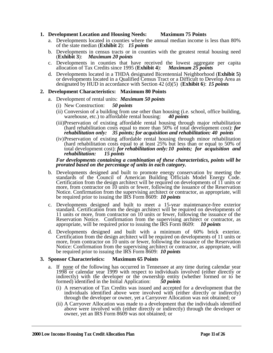#### **1. Development Location and Housing Needs: Maximum 75 Points**

- a. Developments located in counties where the annual median income is less than 80% of the state median (**Exhibit 2**): *15 points*
- b. Developments in census tracts or in counties with the greatest rental housing need (**Exhibit 3**): *Maximum 20 points*
- c. Developments in counties that have received the lowest aggregate per capita allocation of Tax Credits since  $1995$  (**Exhibit 4**): *Maximum 25 points* allocation of Tax Credits since 1995 (**Exhibit 4**):
- d. Developments located in a THDA designated Bicentennial Neighborhood (**Exhibit 5)** or developments located in a Qualified Census Tract or a Difficult to Develop Area as designated by HUD in accordance with Section 42 (d)(5) (**Exhibit 6**): *15 points*

#### **2. Development Characteristics: Maximum 80 Points**

- a. Development of rental units: *Maximum 50 points*
	- (i) New Construction: *50 points*
	- (ii) Conversion of a building from use other than housing (i.e. school, office building, warehouse, etc.) to affordable rental housing: **40 points** warehouse, etc.) to affordable rental housing:
	- (iii)Preservation of existing affordable rental housing through major rehabilitation (hard rehabilitation costs equal to more than 50% of total development cost): *for rehabilitation only: 35 points; for acquisition and rehabilitation: 40 points*
	- (iv)Preservation of existing affordable rental housing through minor rehabilitation (hard rehabilitation costs equal to at least 25% but less than or equal to 50% of total development cost): *for rehabilitation only: 10 points; for acquisition and rehabilitation: 15 points*

#### *For developments containing a combination of these characteristics, points will be prorated based on the percentage of units in each category.*

- b. Developments designed and built to promote energy conservation by meeting the standards of the Council of American Building Officials Model Energy Code. Certification from the design architect will be required on developments of 11 units or more, from contractor on 10 units or fewer, following the issuance of the Reservation Notice. Confirmation from the supervising architect or contractor, as appropriate, will be required prior to issuing the IRS Form 8609: *10 points*
- c. Developments designed and built to meet a 15-year maintenance-free exterior standard. Certification from the design architect will be required on developments of 11 units or more, from contractor on 10 units or fewer, following the issuance of the Reservation Notice. Confirmation from the supervising architect or contractor, as appropriate, will be required prior to issuing the IRS Form 8609: *10 points*
- d. Developments designed and built with a minimum of 60% brick exterior. Certification from the design architect will be required on developments of 11 units or more, from contractor on 10 units or fewer, following the issuance of the Reservation Notice: Confirmation from the supervising architect or contractor, as appropriate, will be required prior to issuing the IRS Form 8609: *10 points*

#### **3. Sponsor Characteristics: Maximum 65 Points**

- a. If none of the following has occurred in Tennessee at any time during calendar year 1998 or calendar year 1999 with respect to individuals involved (either directly or indirectly) with the developer or the ownership entity (whether formed or to be formed) identified in the Initial Application:  $50 points$ formed) identified in the Initial Application:
	- (i) A reservation of Tax Credits was issued and accepted for a development that the individuals identified above were involved with (either directly or indirectly) through the developer or owner, yet a Carryover Allocation was not obtained; or
	- (ii) A Carryover Allocation was made to a development that the individuals identified above were involved with (either directly or indirectly) through the developer or owner, yet an IRS Form 8609 was not obtained; or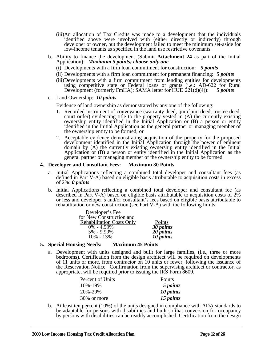- (iii)An allocation of Tax Credits was made to a development that the individuals identified above were involved with (either directly or indirectly) through developer or owner, but the development failed to meet the minimum set-aside for low-income tenants as specified in the land use restrictive covenants.
- b. Ability to finance the development (Submit **Attachment 24** as part of the Initial Application): *Maximum 5 points; choose only one*
	- (i) Developments with a firm loan commitment for construction: *5 points*
	- (ii) Developments with a firm loan commitment for permanent financing: *5 points*
	- (iii)Developments with a firm commitment from lending entities for developments using competitive state or Federal loans or grants (i.e.: AD-622 for Rural Development (formerly FmHA); SAMA letter for HUD 221(d)(4)): *5 points*
- c. Land Ownership: *10 points*

Evidence of land ownership as demonstrated by any one of the following:

- 1. Recorded instrument of conveyance (warranty deed, quitclaim deed, trustee deed, court order) evidencing title to the property vested in (A) the currently existing ownership entity identified in the Initial Application or (B) a person or entity identified in the Initial Application as the general partner or managing member of the ownership entity to be formed; or
- 2. Acceptable evidence demonstrating acquisition of the property for the proposed development identified in the Initial Application through the power of eminent domain by (A) the currently existing ownership entity identified in the Initial Application or (B) a person or entity identified in the Initial Application as the general partner or managing member of the ownership entity to be formed.

#### **4. Developer and Consultant Fees: Maximum 30 Points**

- a. Initial Applications reflecting a combined total developer and consultant fees (as defined in Part V-A) based on eligible basis attributable to acquisition costs in excess of 2%: *0 points*
- b. Initial Applications reflecting a combined total developer and consultant fee (as described in Part V-A) based on eligible basis attributable to acquisition costs of  $2\%$ or less and developer's and/or consultant's fees based on eligible basis attributable to rehabilitation or new construction (see Part V-A) with the following limits:

| Developer's Fee                  |                        |
|----------------------------------|------------------------|
| for New Construction and         |                        |
| <b>Rehabilitation Costs Only</b> | Points                 |
| $0\% - 4.99\%$                   | $3\overline{0}$ points |
| 5% - 9.99%                       | $20$ points            |
| $10\% - 13\%$                    | 10 <i>points</i>       |

#### **5. Special Housing Needs: Maximum 45 Points**

a. Development with units designed and built for large families, (i.e., three or more bedrooms). Certification from the design architect will be required on developments of 11 units or more, from contractor on 10 units or fewer, following the issuance of the Reservation Notice. Confirmation from the supervising architect or contractor, as appropriate, will be required prior to issuing the IRS Form 8609.

| Percent of Units | Points    |
|------------------|-----------|
| 10%-19%          | 5 points  |
| 20%-29%          | 10 points |
| 30% or more      | 15 points |

b. At least ten percent (10%) of the units designed in compliance with ADA standards to be adaptable for persons with disabilities and built so that conversion for occupancy by persons with disabilities can be readily accomplished. Certification from the design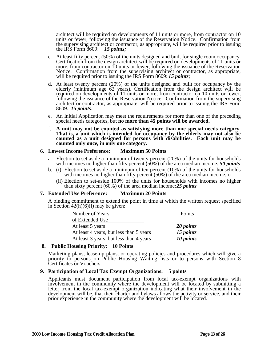architect will be required on developments of 11 units or more, from contractor on 10 units or fewer, following the issuance of the Reservation Notice. Confirmation from the supervising architect or contractor, as appropriate, will be required prior to issuing the IRS Form 8609: *15 points;*

- c. At least fifty percent (50%) of the units designed and built for single room occupancy. Certification from the design architect will be required on developments of 11 units or more, from contractor on 10 units or fewer, following the issuance of the Reservation Notice. Confirmation from the supervising architect or contractor, as appropriate, will be required prior to issuing the IRS Form 8609: *15 points*;
- d. At least twenty percent (20%) of the units designed and built for occupancy by the elderly (minimum age 62 years). Certification from the design architect will be required on developments of 11 units or more, from contractor on 10 units or fewer, following the issuance of the Reservation Notice. Confirmation from the supervising architect or contractor, as appropriate, will be required prior to issuing the IRS Form 8609. *15 points*.
- e. An Initial Application may meet the requirements for more than one of the preceding special needs categories, but **no more than 45 points will be awarded.**
- f. **A unit may not be counted as satisfying more than one special needs category. That is, a unit which is intended for occupancy by the elderly may not also be counted as a unit designed for persons with disabilities. Each unit may be counted only once, in only one category.**

#### **6. Lowest Income Preference: Maximum 50 Points**

- a. Election to set aside a minimum of twenty percent (20%) of the units for households with incomes no higher than fifty percent (50%) of the area median income: *50 points*
- b. (i) Election to set aside a minimum of ten percent (10%) of the units for households with incomes no higher than fifty percent (50%) of the area median income; or
	- (ii) Election to set-aside 100% of the units for households with incomes no higher than sixty percent (60%) of the area median income:*25 points*

#### **7. Extended Use Preference: Maximum 20 Points**

A binding commitment to extend the point in time at which the written request specified in Section  $42(h)(6)(I)$  may be given:

| Number of Years                         | Points    |
|-----------------------------------------|-----------|
| of Extended Use                         |           |
| At least 5 years                        | 20 points |
| At least 4 years, but less than 5 years | 15 points |
| At least 3 years, but less than 4 years | 10 points |

#### **8. Public Housing Priority: 10 Points**

Marketing plans, lease-up plans, or operating policies and procedures which will give a priority to persons on Public Housing Waiting lists or to persons with Section 8 Certificates or Vouchers.

#### **9. Participation of Local Tax Exempt Organizations: 5 points**

Applicants must document participation from local tax-exempt organizations with involvement in the community where the development will be located by submitting a letter from the local tax-exempt organization indicating what their involvement in the development will be, that their charter and bylaws allows the activity or service, and their prior experience in the community where the development will be located.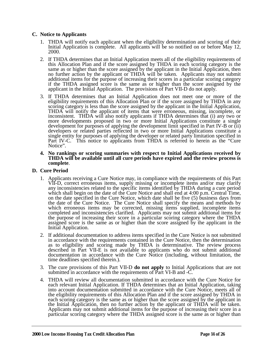#### **C. Notice to Applicants**

- 1. THDA will notify each applicant when the eligibility determination and scoring of their Initial Application is complete. All applicants will be so notified on or before May 12, 2000.
- 2. If THDA determines that an Initial Application meets all of the eligibility requirements of this Allocation Plan and if the score assigned by THDA in each scoring category is the same as or higher than the score assigned by the applicant in the Initial Application, then no further action by the applicant or THDA will be taken. Applicants may not submit additional items for the purpose of increasing their scores in a particular scoring category if the THDA assigned score is the same as or higher than the score assigned by the applicant in the Initial Application. The provisions of Part VII-D do not apply.
- 3. If THDA determines that an Initial Application does not meet one or more of the eligibility requirements of this Allocation Plan or if the score assigned by THDA in any scoring category is less than the score assigned by the applicant in the Initial Application, THDA will notify the applicant of items that were erroneous, missing, incomplete, or inconsistent. THDA will also notify applicants if THDA determines that (i) any two or more developments proposed in two or more Initial Applications constitute a single development for purposes of applying the development limit specified in Part IV-B or (ii) developers or related parties reflected in two or more Initial Applications constitute a single entity for purposes of applying the developer or related party limitation specified in Part IV-C. This notice to applicants from THDA is referred to herein as the "Cure" Notice".
- **4. No rankings or scoring summaries with respect to Initial Applications received by THDA will be available until all cure periods have expired and the review process is complete**.

#### **D. Cure Period**

- 1. Applicants receiving a Cure Notice may, in compliance with the requirements of this Part VII-D, correct erroneous items, supply missing or incomplete items and/or may clarify any inconsistencies related to the specific items identified by THDA during a cure period which shall begin on the date of the Cure Notice and shall end at 4:00 p.m. Central Time, on the date specified in the Cure Notice, which date shall be five (5) business days from the date of the Cure Notice. The Cure Notice shall specify the means and methods by which erroneous items may be corrected, missing items supplied, incomplete items completed and inconsistencies clarified. Applicants may not submit additional items for the purpose of increasing their score in a particular scoring category where the THDA assigned score is the same as or higher than the score assigned by the applicant in the Initial Application.
- 2. If additional documentation to address items specified in the Cure Notice is not submitted in accordance with the requirements contained in the Cure Notice, then the determination as to eligibility and scoring made by THDA is determinative. The review process described in Part VII-E is not available to applicants who do not submit additional documentation in accordance with the Cure Notice (including, without limitation, the time deadlines specified therein.).
- 3. The cure provisions of this Part VII-D **do not apply** to Initial Applications that are not submitted in accordance with the requirements of Part VI-B and -C.
- 4. THDA will review all documentation submitted in accordance with the Cure Notice for each relevant Initial Application. If THDA determines that an Initial Application, taking into account documentation submitted in accordance with the Cure Notice, meets all of the eligibility requirements of this Allocation Plan and if the score assigned by THDA in each scoring category is the same as or higher than the score assigned by the applicant in the Initial Application, then no further action by the applicant or THDA will be taken. Applicants may not submit additional items for the purpose of increasing their score in a particular scoring category where the THDA assigned score is the same as or higher than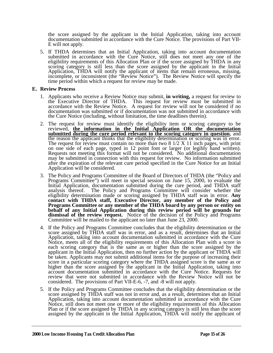the score assigned by the applicant in the Initial Application, taking into account documentation submitted in accordance with the Cure Notice. The provisions of Part VII-E will not apply.

5. If THDA determines that an Initial Application, taking into account documentation submitted in accordance with the Cure Notice, still does not meet any one of the eligibility requirements of this Allocation Plan or if the score assigned by THDA in any scoring category is still less than the score assigned by the applicant in the Initial Application, THDA will notify the applicant of items that remain erroneous, missing, incomplete, or inconsistent (the "Review Notice"). The Review Notice will specify the time period within which a request for review may be made.

#### **E. Review Process**

- 1. Applicants who receive a Review Notice may submit, **in writing,** a request for review to the Executive Director of THDA. This request for review must be submitted in accordance with the Review Notice. A request for review will not be considered if no documentation was submitted or if documentation was not submitted in accordance with the Cure Notice (including, without limitation, the time deadlines therein).
- 2. The request for review must identify the eligibility item or scoring category to be reviewed, **the information in the Initial Application OR the documentation submitted during the cure period relevant to the scoring category in question**, and the reason the applicant thinks that the eligibility determination or scoring was in error. The request for review must contain no more than two  $8\frac{1}{2}$  X 11 inch pages, with print on one side of each page, typed in 12 point font or larger (or legibly hand written). Requests not meeting this format will not be considered. No additional documentation may be submitted in connection with this request for review. No information submitted after the expiration of the relevant cure period specified in the Cure Notice for an Initial Application will be considered.
- 3. The Policy and Programs Committee of the Board of Directors of THDA (the "Policy and Programs Committee") will meet in special session on June 15, 2000, to evaluate the Initial Application, documentation submitted during the cure period, and THDA staff analysis thereof. The Policy and Programs Committee will consider whether the eligibility determination made or scoring assigned by THDA staff was in error. **Any contact with THDA staff, Executive Director, any member of the Policy and Programs Committee or any member of the THDA board by any person or entity on behalf of any Initial Application during this review period will be grounds for dismissal of the review request.** Notice of the decision of the Policy and Programs Committee will be mailed to the applicant no later than June 23, 2000.
- 4. If the Policy and Programs Committee concludes that the eligibility determination or the score assigned by THDA staff was in error, and as a result, determines that an Initial Application, taking into account documentation submitted in accordance with the Cure Notice, meets all of the eligibility requirements of this Allocation Plan with a score in each scoring category that is the same as or higher than the score assigned by the applicant in the Initial Application, then no further action by the applicant or THDA will be taken. Applicants may not submit additional items for the purpose of increasing their score in a particular scoring category where the THDA assigned score is the same as or higher than the score assigned by the applicant in the Initial Application, taking into account documentation submitted in accordance with the Cure Notice. Requests for review that were not submitted in accordance with the Review Notice will not be considered. The provisions of Part VII-E-6, -7, and -8 will not apply.
- 5. If the Policy and Programs Committee concludes that the eligibility determination or the score assigned by THDA staff was not in error and, as a result, determines that an Initial Application, taking into account documentation submitted in accordance with the Cure Notice, still does not meet one or more of the eligibility requirements of this Allocation Plan or if the score assigned by THDA in any scoring category is still less than the score assigned by the applicant in the Initial Application, THDA will notify the applicant of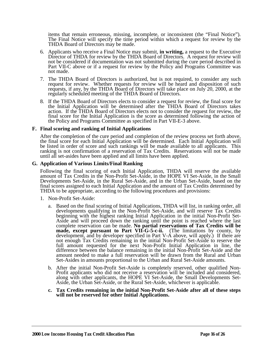items that remain erroneous, missing, incomplete, or inconsistent (the "Final Notice"). The Final Notice will specify the time period within which a request for review by the THDA Board of Directors may be made.

- 6. Applicants who receive a Final Notice may submit, **in writing,** a request to the Executive Director of THDA for review by the THDA Board of Directors. A request for review will not be considered if documentation was not submitted during the cure period described in Part VII-C above or if a request for review by the Policy and Programs Committee was not made.
- 7. The THDA Board of Directors is authorized, but is not required, to consider any such request for review. Whether requests for review will be heard and disposition of such requests, if any, by the THDA Board of Directors will take place on July 20, 2000, at the regularly scheduled meeting of the THDA Board of Directors.
- 8. If the THDA Board of Directors elects to consider a request for review, the final score for the Initial Application will be determined after the THDA Board of Directors takes action. If the THDA Board of Directors elects not to consider the request for review, the final score for the Initial Application is the score as determined following the action of the Policy and Programs Committee as specified in Part VII-E-3 above.

#### **F. Final scoring and ranking of Initial Applications**

After the completion of the cure period and completion of the review process set forth above, the final score for each Initial Application will be determined. Each Initial Application will be listed in order of score and such rankings will be made available to all applicants. This ranking is not confirmation of a reservation of Tax Credits. Reservations will not be made until all set-asides have been applied and all limits have been applied.

#### **G. Application of Various Limits/Final Ranking**

Following the final scoring of each Initial Application, THDA will reserve the available amount of Tax Credits in the Non-Profit Set-Aside, in the HOPE VI Set-Aside, in the Small Developments Set-Aside, in the Rural Set-Aside, and in the Urban Set-Aside, based on the final scores assigned to each Initial Application and the amount of Tax Credits determined by THDA to be appropriate, according to the following procedures and provisions:

- 1. Non-Profit Set-Aside:
	- a. Based on the final scoring of Initial Applications, THDA will list, in ranking order, all developments qualifying in the Non-Profit Set-Aside, and will reserve Tax Credits beginning with the highest ranking Initial Application in the initial Non-Profit Set-Aside and will proceed down the ranking until the point is reached where the last complete reservation can be made. **No partial reservations of Tax Credits will be made, except pursuant to Part VII-G-5-c-ii.** (The limitations by county, by development, and by developer specified in Part V-A above, will apply.) If there are not enough Tax Credits remaining in the initial Non-Profit Set-Aside to reserve the full amount requested for the next Non-Profit Initial Application in line, the difference between the balance remaining in the initial Non-Profit Set-Aside and the amount needed to make a full reservation will be drawn from the Rural and Urban Set-Asides in amounts proportional to the Urban and Rural Set-Aside amounts.
	- b. After the initial Non-Profit Set-Aside is completely reserved, other qualified Non-Profit applicants who did not receive a reservation will be included and considered, along with other applicants, the HOPE VI Set-Aside, the Small Developments Set-Aside, the Urban Set-Aside, or the Rural Set-Aside, whichever is applicable.
	- **c. Tax Credits remaining in the initial Non-Profit Set-Aside after all of these steps will not be reserved for other Initial Applications.**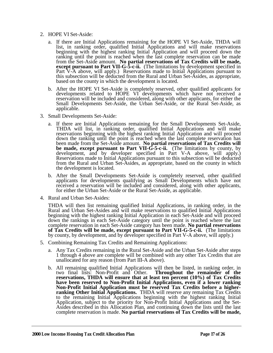- 2. HOPE VI Set-Aside:
	- a. If there are Initial Applications remaining for the HOPE VI Set-Aside, THDA will list, in ranking order, qualified Initial Applications and will make reservations beginning with the highest ranking Initial Application and will proceed down the ranking until the point is reached when the last complete reservation can be made from the Set-Aside amount. **No partial reservations of Tax Credits will be made, except pursuant to Part VII-G-5-c-ii.** (The limitations by development specified in Part V-A above, will apply.) Reservations made to Initial Applications pursuant to this subsection will be deducted from the Rural and Urban Set-Asides, as appropriate, based on the county in which the development is located.
	- b. After the HOPE VI Set-Aside is completely reserved, other qualified applicants for developments related to HOPE VI developments which have not received a reservation will be included and considered, along with other applicants, for either the Small Developments Set-Aside, the Urban Set-Aside, or the Rural Set-Aside, as applicable.
- 3. Small Developments Set-Aside:
	- a. If there are Initial Applications remaining for the Small Developments Set-Aside, THDA will list, in ranking order, qualified Initial Applications and will make reservations beginning with the highest ranking Initial Application and will proceed down the ranking until the point is reached when the last complete reservation has been made from the Set-Aside amount. **No partial reservations of Tax Credits will be made, except pursuant to Part VII-G-5-c-ii.** (The limitations by county, by development, and by developer specified in Part V-A above, will apply.) Reservations made to Initial Applications pursuant to this subsection will be deducted from the Rural and Urban Set-Asides, as appropriate, based on the county in which the development is located.
	- b. After the Small Developments Set-Aside is completely reserved, other qualified applicants for developments qualifying as Small Developments which have not received a reservation will be included and considered, along with other applicants, for either the Urban Set-Aside or the Rural Set-Aside, as applicable.
- 4. Rural and Urban Set-Asides:

THDA will then list remaining qualified Initial Applications, in ranking order, in the Rural and Urban Set-Asides and will make reservations to qualified Initial Applications beginning with the highest ranking Initial Application in each Set-Aside and will proceed down the rankings in each Set-Aside category until the point is reached where the last complete reservation in each Set-Aside category has been made. **No partial reservations of Tax Credits will be made, except pursuant to Part VII-G-5-c-ii.** (The limitations by county, by development, and by developer specified in Part V-A above, will apply.)

- 5. Combining Remaining Tax Credits and Remaining Applications:
	- a. Any Tax Credits remaining in the Rural Set-Aside and the Urban Set-Aside after steps 1 through 4 above are complete will be combined with any other Tax Credits that are unallocated for any reason (from Part III-A above).
	- b. All remaining qualified Initial Applications will then be listed, in ranking order, in two final lists: Non-Profit and Other. **Throughout the remainder of the reservations, THDA will ensure that at least ten percent (10%) of Tax Credits have been reserved to Non-Profit Initial Applications, even if a lower ranking Non-Profit Initial Application must be reserved Tax Credits before a higherranking Other Initial Applications.** THDA will reserve any remaining Tax Credits to the remaining Initial Applications beginning with the highest ranking Initial Application, subject to the priority for Non-Profit Initial Applications and the Set-Asides described in this Allocation Plan, and continuing down the lists until the last complete reservation is made. **No partial reservations of Tax Credits will be made,**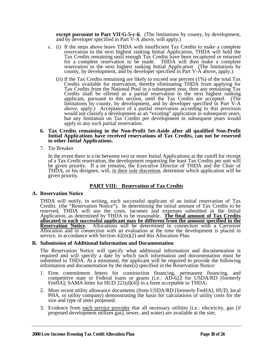**except pursuant to Part VII-G-5-c-ii.** (The limitations by county, by development, and by developer specified in Part V-A above, will apply.)

- c. (i) If the steps above leave THDA with insufficient Tax Credits to make a complete reservation to the next highest ranking Initial Application, THDA will hold the Tax Credits remaining until enough Tax Credits have been recaptured or returned for a complete reservation to be made. THDA will then make a complete reservation to the next highest ranking Initial Application (The limitations by county, by development, and by developer specified in Part V-A above, apply.)
	- (ii) If the Tax Credits remaining are likely to exceed one percent (1%) of the total Tax Credits available for reservation, thereby eliminating THDA from applying for Tax Credits from the National Pool in a subsequent year, then any remaining Tax Credits shall be offered as a partial reservation to the next highest ranking applicant, pursuant to this section, until the Tax Credits are accepted. (The limitations by county, by development, and by developer specified in Part V-A above, apply.) Acceptance of a partial reservation according to this provision would not classify a development as an "existing" application in subsequent years, but any limitation on Tax Credits per development in subsequent years would apply to any such partial reservation.

#### **6. Tax Credits remaining in the Non-Profit Set-Aside after all qualified Non-Profit Initial Applications have received reservations of Tax Credits, can not be reserved to other Initial Applications.**

7. Tie Breaker

In the event there is a tie between two or more Initial Applications at the cutoff for receipt of a Tax Credit reservation, the development requesting the least Tax Credits per unit will be given priority. If a tie remains, the Executive Director of THDA and the Chair of THDA, or his designee, will, in their sole discretion, determine which application will be given priority.

### **PART VIII: Reservation of Tax Credits**

#### **A. Reservation Notice**

THDA will notify, in writing, each successful applicant of an initial reservation of Tax Credits (the "Reservation Notice"). In determining the initial amount of Tax Credits to be reserved, THDA will use the costs, incomes and expenses submitted in the Initial Application, as determined by THDA to be reasonable. **The final amount of Tax Credits allocated to each successful applicant may be different from the amount specified in the Reservation Notice**. Allocations will be determined in connection with a Carryover Allocation and in connection with an evaluation at the time the development is placed in service, in accordance with Section 42(m)(2) and this Allocation Plan.

#### **B. Submission of Additional Information and Documentation**

The Reservation Notice will specify what additional information and documentation is required and will specify a date by which such information and documentation must be submitted to THDA. At a minimum, the applicant will be required to provide the following information and documentation by the date( $\overline{s}$ ) specified in the Reservation Notice:

- 1. Firm commitment letters for construction financing, permanent financing, and competitive state or Federal loans or grants (i.e.: AD-622 for USDA/RD [formerly FmHA]; SAMA letter for HUD 221(d)(4)) in a form acceptable to THDA;
- 2. Most recent utility allowance documents (from USDA/RD [formerly FmHA], HUD, local PHA, or utility company) demonstrating the basis for calculations of utility costs for the size and type of units proposed;
- 3. Evidence from each service provider that all necessary utilities (i.e.: electricity, gas (if proposed development utilizes gas), sewer, and water) are available at the site;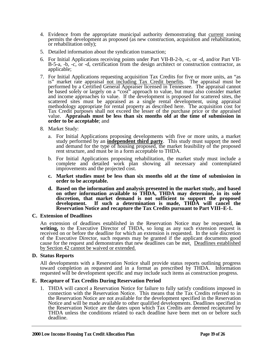- 4. Evidence from the appropriate municipal authority demonstrating that current zoning permits the development as proposed (as new construction, acquisition and rehabilitation, or rehabilitation only);
- 5. Detailed information about the syndication transaction;
- 6. For Initial Applications receiving points under Part VII-B-2-b, -c, or -d, and/or Part VII-B-5-a, -b, -c, or -d, certification from the design architect or construction contractor, as applicable;
- 7. For Initial Applications requesting acquisition Tax Credits for five or more units, an "as is" market rate appraisal not including Tax Credit benefits. The appraisal must be performed by a Certified General Appraiser licensed in Tennessee. The appraisal cannot be based solely or largely on a "cost" approach to value, but must also consider market and income approaches to value. If the development is proposed for scattered sites, the scattered sites must be appraised as a single rental development, using appraisal methodology appropriate for rental property as described here. The acquisition cost for Tax Credit purposes shall not exceed the lesser of the purchase price or the appraised value. **Appraisals must be less than six months old at the time of submission in order to be acceptable**; and
- 8. Market Study:
	- a. For Initial Applications proposing developments with five or more units, a market study performed by an **independent third party**. This study must support the need and demand for the type of housing proposed, the market feasibility of the proposed rent structure, and must be in a form acceptable to THDA.
	- b. For Initial Applications proposing rehabilitation, the market study must include a complete and detailed work plan showing all necessary and contemplated improvements and the projected cost.
	- **c. Market studies must be less than six months old at the time of submission in order to be acceptable.**
	- **d. Based on the information and analysis presented in the market study, and based on other information available to THDA, THDA may determine, in its sole discretion, that market demand is not sufficient to support the proposed development. If such a determination is made, THDA will cancel the Reservation Notice and recapture the Tax Credits pursuant to Part VIII–E-1.**

#### **C. Extension of Deadlines**

An extension of deadlines established in the Reservation Notice may be requested, **in writing,** to the Executive Director of THDA, so long as any such extension request is received on or before the deadline for which an extension is requested. In the sole discretion of the Executive Director, such requests may be granted if the applicant documents good cause for the request and demonstrates that new deadlines can be met. Deadlines established by Section 42 cannot be waived or extended.

#### **D. Status Reports**

All developments with a Reservation Notice shall provide status reports outlining progress toward completion as requested and in a format as prescribed by THDA. Information requested will be development specific and may include such items as construction progress.

#### **E. Recapture of Tax Credits During Reservation Period**

1. THDA will cancel a Reservation Notice for failure to fully satisfy conditions imposed in connection with the Reservation Notice. This means that the Tax Credits referred to in the Reservation Notice are not available for the development specified in the Reservation Notice and will be made available to other qualified developments. Deadlines specified in the Reservation Notice are the dates upon which Tax Credits are deemed recaptured by THDA unless the conditions related to each deadline have been met on or before such deadline.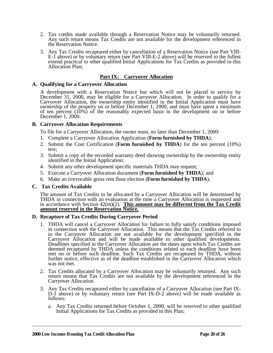- 2. Tax credits made available through a Reservation Notice may be voluntarily returned. Any such return means Tax Credits are not available for the development referenced in the Reservation Notice.
- 3. Any Tax Credits recaptured either by cancellation of a Reservation Notice (see Part VIII-E-1 above) or by voluntary return (see Part VIII-E-2 above) will be reserved to the fullest extend practical to other qualified Initial Applications for Tax Credits as provided in this Allocation Plan;

#### **Part IX: Carryover Allocation**

#### **A. Qualifying for a Carryover Allocation**

A development with a Reservation Notice but which will not be placed in service by December 31, 2000, may be eligible for a Carryover Allocation. In order to qualify for a Carryover Allocation, the ownership entity identified in the Initial Application must have ownership of the property on or before December 1, 2000, and must have spent a minimum of ten percent (10%) of the reasonably expected basis in the development on or before December 1, 2000.

#### **B. Carryover Allocation Requirements**

To file for a Carryover Allocation, the owner must, no later than December 1, 2000:

- 1. Complete a Carryover Allocation Application (**Form furnished by THDA**);
- 2. Submit the Cost Certification (**Form furnished by THDA**) for the ten percent (10%) test;
- 3. Submit a copy of the recorded warranty deed showing ownership by the ownership entity identified in the Initial Application;
- 4. Submit any other development specific materials THDA may request;
- 5. Execute a Carryover Allocation document (**Form furnished by THDA**); and
- 6. Make an irrevocable gross rent floor election (**Form furnished by THDA**)**.**

#### **C. Tax Credits Available**

The amount of Tax Credits to be allocated by a Carryover Allocation will be determined by THDA in connection with an evaluation at the time a Carryover Allocation is requested and in accordance with Section 42(m)(2). **This amount may be different from the Tax Credit amount reserved in the Reservation Notice.**

#### **D. Recapture of Tax Credits During Carryover Period**

- 1. THDA will cancel a Carryover Allocation for failure to fully satisfy conditions imposed in connection with the Carryover Allocation. This means that the Tax Credits referred to in the Carryover Allocation are not available for the development specified in the Carryover Allocation and will be made available to other qualified developments. Deadlines specified in the Carryover Allocation are the dates upon which Tax Credits are deemed recaptured by THDA unless the conditions related to each deadline have been met on or before such deadline. Such Tax Credits are recaptured by THDA, without further notice, effective as of the deadline established in the Carryover Allocation which was not met.
- 2. Tax Credits allocated by a Carryover Allocation may be voluntarily returned. Any such return means that Tax Credits are not available by the development referenced in the Carryover Allocation.
- 3. Any Tax Credits recaptured either by cancellation of a Carryover Allocation (see Part IX-D-1 above) or by voluntary return (see Part IX-D-2 above) will be made available as follows:
	- a. Any Tax Credits returned before October 1, 2000, will be reserved to other qualified Initial Applications for Tax Credits as provided in this Plan;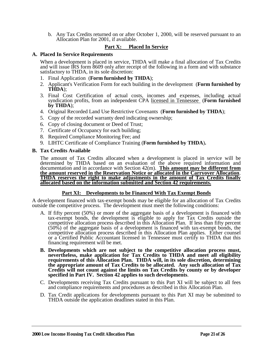b. Any Tax Credits returned on or after October 1, 2000, will be reserved pursuant to an Allocation Plan for 2001, if available.

### **Part X: Placed In Service**

#### **A. Placed In Service Requirements**

When a development is placed in service, THDA will make a final allocation of Tax Credits and will issue IRS form 8609 only after receipt of the following in a form and with substance satisfactory to THDA, in its sole discretion:

- 1. Final Application (**Form furnished by THDA**);
- 2. Applicant's Verification Form for each building in the development (**Form furnished by THDA**);
- 3. Final Cost Certification of actual costs, incomes and expenses, including actual syndication profits, from an independent CPA licensed in Tennessee (**Form furnished by THDA**);
- 4. Original Recorded Land Use Restrictive Covenants (**Form furnished by THDA**);
- 5. Copy of the recorded warranty deed indicating ownership;
- 6. Copy of closing document or Deed of Trust;
- 7. Certificate of Occupancy for each building;
- 8. Required Compliance Monitoring Fee; and
- 9. LIHTC Certificate of Compliance Training (**Form furnished by THDA**)**.**

#### **B. Tax Credits Available**

The amount of Tax Credits allocated when a development is placed in service will be determined by THDA based on an evaluation of the above required information and documentation and in accordance with Section 42(m). **This amount may be different from the amount reserved in the Reservation Notice or allocated in the Carryover Allocation**. **THDA reserves the right to make adjustments in the amount of Tax Credits finally THDA** reserves the right to make adjustments in the amount of Tax Credits finally allocated based on the information submitted and Section 42 requirements.

#### **Part XI: Developments to be Financed With Tax Exempt Bonds**

A development financed with tax-exempt bonds may be eligible for an allocation of Tax Credits outside the competitive process. The development must meet the following conditions:

- A. If fifty percent (50%) or more of the aggregate basis of a development is financed with tax-exempt bonds, the development is eligible to apply for Tax Credits outside the competitive allocation process described in this Allocation Plan. If less than fifty percent (50%) of the aggregate basis of a development is financed with tax-exempt bonds, the competitive allocation process described in this Allocation Plan applies. Either counsel or a Certified Public Accountant licensed in Tennessee must certify to THDA that this financing requirement will be met.
- **B. Developments which are not subject to the competitive allocation process must, nevertheless, make application for Tax Credits to THDA and meet all eligibility requirements of this Allocation Plan. THDA will, in its sole discretion, determining the appropriate amount of Tax Credits to be allocated. Any such allocation of Tax Credits will not count against the limits on Tax Credits by county or by developer specified in Part IV. Section 42 applies to such developments**.
- C. Developments receiving Tax Credits pursuant to this Part XI will be subject to all fees and compliance requirements and procedures as described in this Allocation Plan.
- D. Tax Credit applications for developments pursuant to this Part XI may be submitted to THDA outside the application deadlines stated in this Plan.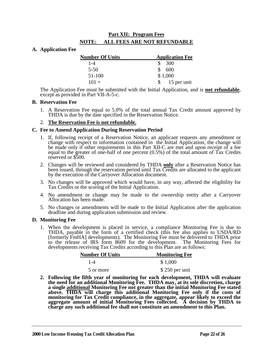## **Part XII: Program Fees NOTE: ALL FEES ARE NOT REFUNDABLE**

#### **A. Application Fee**

| <b>Number Of Units</b> | <b>Application Fee</b> |
|------------------------|------------------------|
| $1 - 4$                | - 300<br>SS.           |
| $5 - 50$               | S.<br>600              |
| 51-100                 | \$1,000                |
| $101 +$                | 15 per unit            |

The Application Fee must be submitted with the Initial Application, and is **not refundable**, except as provided in Part VII-A-5-c.

#### **B. Reservation Fee**

1. A Reservation Fee equal to 5.0% of the total annual Tax Credit amount approved by THDA is due by the date specified in the Reservation Notice.

#### 2. **The Reservation Fee is not refundable.**

#### **C. Fee to Amend Application During Reservation Period**

- 1. If, following receipt of a Reservation Notice, an applicant requests any amendment or change with respect to information contained in the Initial Application, the change will be made only if other requirements in this Part XII-C are met and upon receipt of a fee equal to the greater of one-half of one percent (0.5%) of the total amount of Tax Credits reserved or \$500.
- 2. Changes will be reviewed and considered by THDA **only** after a Reservation Notice has been issued, through the reservation period until Tax Credits are allocated to the applicant by the execution of the Carryover Allocation document.
- 3. No changes will be approved which would have, in any way, affected the eligibility for Tax Credits or the scoring of the Initial Application.
- 4. No amendment or change may be made to the ownership entity after a Carryover Allocation has been made.
- 5. No changes or amendments will be made to the Initial Application after the application deadline and during application submission and review.

#### **D. Monitoring Fee**

1. When the development is placed in service, a compliance Monitoring Fee is due to THDA, payable in the form of a certified check (this fee also applies to USDA/RD [formerly FmHA] developments). The Monitoring Fee must be delivered to THDA prior to the release of IRS form 8609 for the development. The Monitoring Fees for developments receiving Tax Credits according to this Plan are as follows:

| <b>Number Of Units</b> | <b>Monitoring Fee</b> |
|------------------------|-----------------------|
| $1 - 4$                | \$1,000               |
| 5 or more              | $$250$ per unit       |

**2. Following the fifth year of monitoring for each development, THDA will evaluate the need for an additional Monitoring Fee. THDA may, at its sole discretion, charge a single additional Monitoring Fee not greater than the initial Monitoring Fee stated above. THDA will charge this additional Monitoring Fee only if the costs of monitoring for Tax Credit compliance, in the aggregate, appear likely to exceed the aggregate amount of initial Monitoring Fees collected. A decision by THDA to charge any such additional fee shall not constitute an amendment to this Plan.**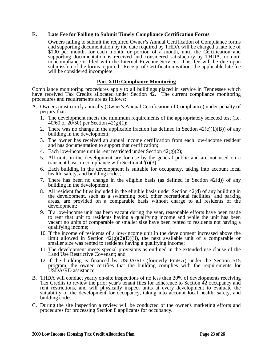#### **E. Late Fee for Failing to Submit Timely Compliance Certification Forms**

Owners failing to submit the required Owner's Annual Certification of Compliance forms and supporting documentation by the date required by THDA will be charged a late fee of \$100 per month, for each month, or portion of a month, until the Certification and supporting documentation is received and considered satisfactory by THDA, or until noncompliance is filed with the Internal Revenue Service. This fee will be due upon submission of the forms required. Receipt of Certification without the applicable late fee will be considered incomplete.

#### **Part XIII: Compliance Monitoring**

Compliance monitoring procedures apply to all buildings placed in service in Tennessee which have received Tax Credits allocated under Section 42. The current compliance monitoring procedures and requirements are as follows:

- A. Owners must certify annually (Owner's Annual Certification of Compliance) under penalty of perjury that:
	- 1. The development meets the minimum requirements of the appropriately selected test (i.e. 40/60 or 20/50) per Section 42(g)(1);
	- 2. There was no change in the applicable fraction (as defined in Section  $42(c)(1)(B)$ ) of any building in the development;
	- 3. The owner has received an annual income certification from each low-income resident and has documentation to support that certification;
	- 4. Each low-income unit is rent restricted under Section  $42(g)(2)$ ;
	- 5. All units in the development are for use by the general public and are not used on a transient basis in compliance with Section  $42(i)(3)$ ;
	- 6. Each building in the development is suitable for occupancy, taking into account local health, safety, and building codes;
	- 7. There has been no change in the eligible basis (as defined in Section  $42(d)$ ) of any building in the development;
	- 8. All resident facilities included in the eligible basis under Section 42(d) of any building in the development, such as a swimming pool, other recreational facilities, and parking areas, are provided on a comparable basis without charge to all residents of the development;
	- 9. If a low-income unit has been vacant during the year, reasonable efforts have been made to rent that unit to residents having a qualifying income and while the unit has been vacant no units of comparable or smaller size have been rented to residents not having a qualifying income;
	- 10. If the income of residents of a low-income unit in the development increased above the limit allowed in Section  $42(g)(2)(D)(ii)$ , the next available unit of a comparable or smaller size was rented to residents having a qualifying income;
	- 11. The development meets special provisions as outlined in the extended use clause of the Land Use Restrictive Covenant; and
	- 12. If the building is financed by USDA/RD (formerly FmHA) under the Section 515 program, the owner certifies that the building complies with the requirements for USDA/RD assistance.
- B. THDA will conduct yearly on-site inspections of no less than 20% of developments receiving Tax Credits to review the prior year's tenant files for adherence to Section 42 occupancy and rent restrictions, and will physically inspect units at every development to evaluate the suitability of the development for occupancy, taking into account local health, safety, and building codes.
- C. During the site inspection a review will be conducted of the owner's marketing efforts and procedures for processing Section 8 applicants for occupancy.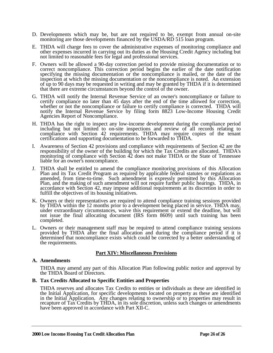- D. Developments which may be, but are not required to be, exempt from annual on-site monitoring are those developments financed by the USDA/RD 515 loan program.
- E. THDA will charge fees to cover the administrative expenses of monitoring compliance and other expenses incurred in carrying out its duties as the Housing Credit Agency including but not limited to reasonable fees for legal and professional services.
- F. Owners will be allowed a 90-day correction period to provide missing documentation or to correct noncompliance. This correction period begins the earlier of the date notification specifying the missing documentation or the noncompliance is mailed, or the date of the inspection at which the missing documentation or the noncompliance is noted. An extension of up to 90 days may be requested in writing and may be granted by THDA if it is determined that there are extreme circumstances beyond the control of the owner.
- G. THDA will notify the Internal Revenue Service of an owner's noncompliance or failure to certify compliance no later than 45 days after the end of the time allowed for correction, whether or not the noncompliance or failure to certify compliance is corrected. THDA will notify the Internal Revenue Service by filing form 8823 Low-Income Housing Credit Agencies Report of Noncompliance.
- H. THDA has the right to inspect any low-income development during the compliance period including but not limited to on-site inspections and review of all records relating to compliance with Section 42 requirements. THDA may require copies of the tenant certifications and supporting documentation to be forwarded to THDA.
- I. Awareness of Section 42 provisions and compliance with requirements of Section 42 are the responsibility of the owner of the building for which the Tax Credits are allocated. THDA's monitoring of compliance with Section 42 does not make THDA or the State of Tennessee liable for an owner's noncompliance.
- J. THDA shall be entitled to amend the compliance monitoring provisions of this Allocation Plan and its Tax Credit Program as required by applicable federal statutes or regulations as amended, from time-to-time. Such amendment is expressly permitted by this Allocation Plan, and the making of such amendment will not require further public hearings. THDA, in accordance with Section 42, may impose additional requirements at its discretion in order to fulfill the objectives of its housing initiatives.
- K. Owners or their representatives are required to attend compliance training sessions provided by THDA within the 12 months prior to a development being placed in service. THDA may, under extraordinary circumstances, waive this requirement or extend the deadline, but will not issue the final allocating document (IRS form 8609) until such training has been completed.
- L. Owners or their management staff may be required to attend compliance training sessions provided by THDA after the final allocation and during the compliance period if it is determined that noncompliance exists which could be corrected by a better understanding of the requirements.

#### **Part XIV: Miscellaneous Provisions**

#### **A. Amendments**

THDA may amend any part of this Allocation Plan following public notice and approval by the THDA Board of Directors.

#### **B. Tax Credits Allocated to Specific Entities and Properties**

THDA reserves and allocates Tax Credits to entities or individuals as these are identified in the Initial Application, for specific developments located on property as these are identified in the Initial Application. Any changes relating to ownership or to properties may result in recapture of Tax Credits by THDA, in its sole discretion, unless such changes or amendments have been approved in accordance with Part XII-C.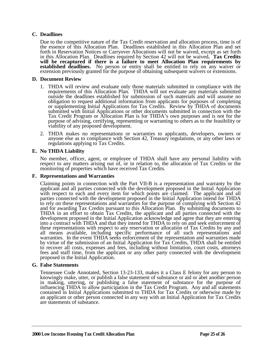#### **C. Deadlines**

Due to the competitive nature of the Tax Credit reservation and allocation process, time is of the essence of this Allocation Plan. Deadlines established in this Allocation Plan and set forth in Reservation Notices or Carryover Allocations will not be waived, except as set forth in this Allocation Plan. Deadlines required by Section 42 will not be waived**. Tax Credits will be recaptured if there is a failure to meet Allocation Plan requirements by established deadlines.** No person or entity shall be entitled to rely on any waiver or extension previously granted for the purpose of obtaining subsequent waivers or extensions.

#### **D. Document Review**

- 1. THDA will review and evaluate only those materials submitted in compliance with the requirements of this Allocation Plan. THDA will not evaluate any materials submitted outside the deadlines established for submission of such materials and will assume no obligation to request additional information from applicants for purposes of completing or supplementing Initial Applications for Tax Credits. Review by THDA of documents submitted with Initial Applications or other documents submitted in connection with the Tax Credit Program or Allocation Plan is for THDA's own purposes and is not for the purpose of advising, certifying, representing or warranting to others as to the feasibility or viability of any proposed development.
- 2. THDA makes no representations or warranties to applicants, developers, owners or anyone else as to compliance with Section 42, Treasury regulations, or any other laws or regulations applying to Tax Credits.

#### **E. No THDA Liability**

No member, officer, agent, or employee of THDA shall have any personal liability with respect to any matters arising out of, or in relation to, the allocation of Tax Credits or the monitoring of properties which have received Tax Credits.

#### **F. Representations and Warranties**

Claiming points in connection with the Part VII-B is a representation and warranty by the applicant and all parties connected with the development proposed in the Initial Application with respect to each and every item for which points are claimed. The applicant and all parties connected with the development proposed in the Initial Application intend for THDA to rely on these representations and warranties for the purpose of complying with Section 42 and for awarding Tax Credits pursuant to this Allocation Plan. By submitting documents to THDA in an effort to obtain Tax Credits, the applicant and all parties connected with the development proposed in the Initial Application acknowledge and agree that they are entering into a contract with THDA and that they intend for THDA to rely on and seek enforcement of these representations with respect to any reservation or allocation of Tax Credits by any and all means available, including specific performance of all such representations and warranties. In the event THDA seeks enforcement of the representation and warranties made by virtue of the submission of an Initial Application for Tax Credits, THDA shall be entitled to recover all costs, expenses and fees, including without limitation, court costs, attorneys fees and staff time, from the applicant or any other party connected with the development proposed in the Initial Application.

#### **G. False Statements**

Tennessee Code Annotated, Section 13-23-133, makes it a Class E felony for any person to knowingly make, utter, or publish a false statement of substance or aid or abet another person in making, uttering, or publishing a false statement of substance for the purpose of influencing THDA to allow participation in the Tax Credit Program. Any and all statements contained in Initial Applications submitted to THDA for Tax Credits or otherwise made by an applicant or other person connected in any way with an Initial Application for Tax Credits are statements of substance.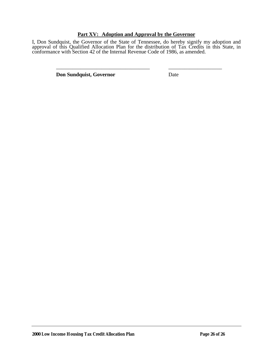#### **Part XV: Adoption and Approval by the Governor**

I, Don Sundquist, the Governor of the State of Tennessee, do hereby signify my adoption and approval of this Qualified Allocation Plan for the distribution of Tax Credits in this State, in conformance with Section 42 of the Internal Revenue Code of 1986, as amended.

\_\_\_\_\_\_\_\_\_\_\_\_\_\_\_\_\_\_\_\_\_\_\_\_\_\_\_\_\_\_\_\_\_\_\_ \_\_\_\_\_\_\_\_\_\_\_\_\_\_\_\_\_\_\_\_

**Don Sundquist, Governor** Date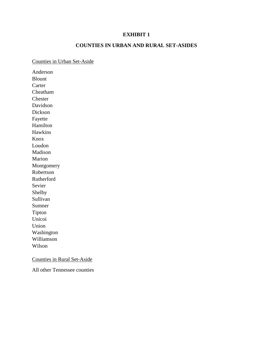#### **COUNTIES IN URBAN AND RURAL SET-ASIDES**

#### Counties in Urban Set-Aside

Anderson Blount Carter Cheatham Chester Davidson Dickson Fayette Hamilton Hawkins Knox Loudon Madison Marion Montgomery Robertson Rutherford Sevier Shelby Sullivan Sumner Tipton Unicoi Union Washington Williamson Wilson

#### Counties in Rural Set-Aside

All other Tennessee counties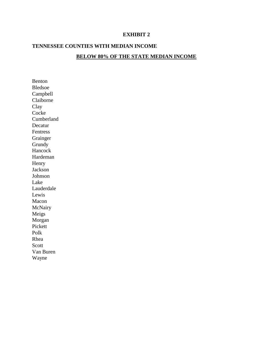### **TENNESSEE COUNTIES WITH MEDIAN INCOME**

#### **BELOW 80% OF THE STATE MEDIAN INCOME**

Benton Bledsoe Campbell Claiborne Clay Cocke Cumberland Decatur Fentress Grainger Grundy Hancock Hardeman Henry Jackson Johnson Lake Lauderdale Lewis Macon McNairy Meigs Morgan Pickett Polk Rhea Scott Van Buren Wayne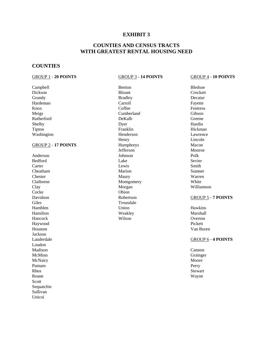#### **COUNTIES AND CENSUS TRACTS WITH GREATEST RENTAL HOUSING NEED**

#### **COUNTIES**

#### GROUP 1 - **20 POINTS** GROUP 3 - **14 POINTS** GROUP 4 - **10 POINTS**

Campbell Benton Bledsoe Dickson Blount Crockett Grundy **Bradley** Bradley **Bradley Decatur** Hardeman Carroll Fayette<br>
Knox Goffee Fentress Knox **Coffee Fentress** Meigs Cumberland Gibson Rutherford **DeKalb** DeKalb Greene Shelby Dyer **Hardin** Tipton **Franklin** Franklin Hickman Washington **Henderson** Henderson **Lawrence** GROUP 2 - 17 POINTS Humphreys Humphreys Macon Anderson Johnson Polk Bedford Sevier Sevier Sevier Sevier Sevier Sevier Sevier Sevier Sevier Sevier Sevier Sevier Sevier Sevier Sevie Carter **Lewis** Carter **Smith Cheatham Sumner** Sumner Sumner Sumner Sumner Sumner Chester Maury Warren Claiborne Montgomery Montgomery White Clay Morgan Williamson Cocke Obion Davidson Robertson GROUP 5 - **7 POINTS** Giles Trousdale Hamblen **Hamblen** Hawkins Hamilton Weakley Marshall Hancock Wilson Overton Haywood Pickett Houston Van Buren Jackson Lauderdale GROUP 6 - **4 POINTS** Loudon<br>Madison Madison **Cannon** Cannon Cannon Cannon Cannon Cannon Cannon Cannon Cannon Cannon Cannon Cannon Cannon Cannon Cannon McMinn Grainger and Communication of the Communication of the Grainger and Grainger McNairy Moore Putnam **Perry** Rhea Stewart and the Stewart Stewart and the Stewart Stewart Stewart Stewart Stewart Stewart Roane Wayne Scott Sequatchie Sullivan Unicoi

Henry Lincoln Jefferson Monroe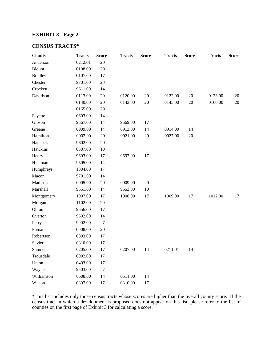### **EXHIBIT 3 - Page 2**

### **CENSUS TRACTS\***

| County         | <b>Tracts</b> | <b>Score</b>     | <b>Tracts</b> | <b>Score</b> | <b>Tracts</b> | <b>Score</b> | <b>Tracts</b> | <b>Score</b> |
|----------------|---------------|------------------|---------------|--------------|---------------|--------------|---------------|--------------|
| Anderson       | 0212.01       | 20               |               |              |               |              |               |              |
| <b>Blount</b>  | 0108.00       | 20               |               |              |               |              |               |              |
| <b>Bradley</b> | 0107.00       | 17               |               |              |               |              |               |              |
| Chester        | 9701.00       | 20               |               |              |               |              |               |              |
| Crockett       | 9611.00       | 14               |               |              |               |              |               |              |
| Davidson       | 0113.00       | 20               | 0120.00       | 20           | 0122.00       | 20           | 0123.00       | 20           |
|                | 0140.00       | 20               | 0143.00       | 20           | 0145.00       | 20           | 0160.00       | 20           |
|                | 0165.00       | 20               |               |              |               |              |               |              |
| Fayette        | 0603.00       | 14               |               |              |               |              |               |              |
| Gibson         | 9667.00       | 14               | 9669.00       | 17           |               |              |               |              |
| Greene         | 0909.00       | 14               | 0913.00       | 14           | 0914.00       | 14           |               |              |
| Hamilton       | 0002.00       | 20               | 0021.00       | 20           | 0027.00       | 20           |               |              |
| Hancock        | 9602.00       | 20               |               |              |               |              |               |              |
| Hawkins        | 0507.00       | 10               |               |              |               |              |               |              |
| Henry          | 9693.00       | 17               | 9697.00       | 17           |               |              |               |              |
| Hickman        | 9505.00       | 14               |               |              |               |              |               |              |
| Humphreys      | 1304.00       | 17               |               |              |               |              |               |              |
| Macon          | 9701.00       | 14               |               |              |               |              |               |              |
| Madison        | 0005.00       | 20               | 0009.00       | 20           |               |              |               |              |
| Marshall       | 9551.00       | 14               | 9553.00       | 10           |               |              |               |              |
| Montgomery     | 1007.00       | 17               | 1008.00       | 17           | 1009.00       | 17           | 1012.00       | 17           |
| Morgan         | 1102.00       | 20               |               |              |               |              |               |              |
| Obion          | 9656.00       | 17               |               |              |               |              |               |              |
| Overton        | 9502.00       | 14               |               |              |               |              |               |              |
| Perry          | 9902.00       | $\overline{7}$   |               |              |               |              |               |              |
| Putnam         | 0008.00       | 20               |               |              |               |              |               |              |
| Robertson      | 0803.00       | 17               |               |              |               |              |               |              |
| Sevier         | 0810.00       | 17               |               |              |               |              |               |              |
| Sumner         | 0205.00       | 17               | 0207.00       | 14           | 0211.01       | 14           |               |              |
| Trousdale      | 0902.00       | 17               |               |              |               |              |               |              |
| Union          | 0403.00       | 17               |               |              |               |              |               |              |
| Wayne          | 9503.00       | $\boldsymbol{7}$ |               |              |               |              |               |              |
| Williamson     | 0508.00       | 14               | 0511.00       | 14           |               |              |               |              |
| Wilson         | 0307.00       | 17               | 0310.00       | 17           |               |              |               |              |

\*This list includes only those census tracts whose scores are higher than the overall county score. If the census tract in which a development is proposed does not appear on this list, please refer to the list of counties on the first page of Exhibit 3 for calculating a score.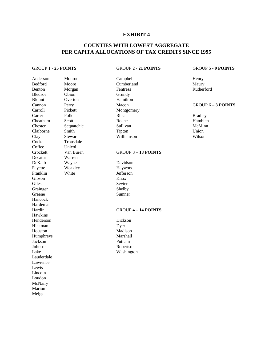### **COUNTIES WITH LOWEST AGGREGATE PER CAPITA ALLOCATIONS OF TAX CREDITS SINCE 1995**

#### GROUP 1 - **25 POINTS** GROUP 2 - **21 POINTS** GROUP 5 - **9 POINTS**

Anderson Monroe Campbell Henry Bedford Moore Cumberland Maury Maury<br>Benton Morgan Fentress Rutherford Benton Morgan Fentress Rutherford Bledsoe Obion Grundy Blount Overton Hamilton Cannon Perry Macon Macon <u>GROUP 6</u> – **3 POINTS**<br>Carroll Pickett Montgomery Carter Polk Rhea Bradley Cheatham Scott Roane Roane Hamblen Chester Sequatchie Sullivan McMinn Claiborne Smith Tipton Union Clay Stewart Williamson Wilson Cocke Trousdale Coffee Unicoi Decatur Warren DeKalb Wayne Davidson Fayette Weakley Haywood Franklin White Jefferson Gibson Knox Giles Sevier Grainger Shelby<br>Greene Summer Hancock Hardeman Hawkins Henderson Dickson Hickman Dyer Houston Madison Humphreys Marshall Jackson Putnam Johnson Robertson Lake Washington Lauderdale Lawrence Lewis Lincoln Loudon **McNairy** Marion Meigs

Montgomery

#### Crockett Van Buren GROUP 3 – **18 POINTS**

Sumner

#### Hardin GROUP 4 – 14 POINTS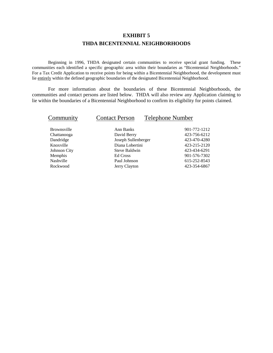## **EXHIBIT 5 THDA BICENTENNIAL NEIGHBORHOODS**

Beginning in 1996, THDA designated certain communities to receive special grant funding. These communities each identified a specific geographic area within their boundaries as "Bicentennial Neighborhoods." For a Tax Credit Application to receive points for being within a Bicentennial Neighborhood, the development must lie entirely within the defined geographic boundaries of the designated Bicentennial Neighborhood.

For more information about the boundaries of these Bicentennial Neighborhoods, the communities and contact persons are listed below. THDA will also review any Application claiming to lie within the boundaries of a Bicentennial Neighborhood to confirm its eligibility for points claimed.

| Community           | <b>Contact Person</b> | <b>Telephone Number</b> |
|---------------------|-----------------------|-------------------------|
| <b>Brownsville</b>  | Ann Banks             | 901-772-1212            |
| Chattanooga         | David Berry           | 423-756-6212            |
| Dandridge           | Joseph Sullenberger   | 423-470-4280            |
| Knoxville           | Diana Lobertini       | 423-215-2120            |
| <b>Johnson City</b> | Steve Baldwin         | 423-434-6291            |
| Memphis             | Ed Cross              | 901-576-7302            |
| Nashville           | Paul Johnson          | 615-252-8543            |
| Rockwood            | Jerry Clayton         | 423-354-6867            |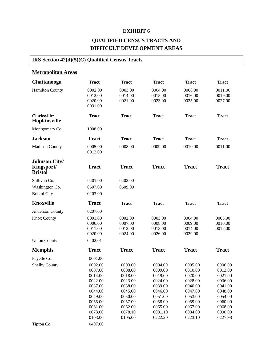# **QUALIFIED CENSUS TRACTS AND DIFFICULT DEVELOPMENT AREAS**

# **IRS Section 42(d)(5)(C) Qualified Census Tracts**

## **Metropolitan Areas**

| Chattanooga                                          | <b>Tract</b>       | <b>Tract</b>       | <b>Tract</b>       | <b>Tract</b>       | <b>Tract</b>       |
|------------------------------------------------------|--------------------|--------------------|--------------------|--------------------|--------------------|
| <b>Hamilton County</b>                               | 0002.00            | 0003.00            | 0004.00            | 0008.00            | 0011.00            |
|                                                      | 0012.00            | 0014.00            | 0015.00            | 0016.00            | 0019.00            |
|                                                      | 0020.00<br>0031.00 | 0021.00            | 0023.00            | 0025.00            | 0027.00            |
|                                                      |                    |                    |                    |                    |                    |
| Clarksville/<br>Hopkinsville                         | <b>Tract</b>       | <b>Tract</b>       | <b>Tract</b>       | <b>Tract</b>       | <b>Tract</b>       |
| Montgomery Co.                                       | 1008.00            |                    |                    |                    |                    |
| <b>Jackson</b>                                       | <b>Tract</b>       | <b>Tract</b>       | <b>Tract</b>       | <b>Tract</b>       | <b>Tract</b>       |
| <b>Madison County</b>                                | 0005.00<br>0012.00 | 0008.00            | 0009.00            | 0010.00            | 0011.00            |
| <b>Johnson City/</b><br>Kingsport/<br><b>Bristol</b> | <b>Tract</b>       | <b>Tract</b>       | <b>Tract</b>       | <b>Tract</b>       | <b>Tract</b>       |
| Sullivan Co.                                         | 0401.00            | 0402.00            |                    |                    |                    |
| Washington Co.                                       | 0607.00            | 0609.00            |                    |                    |                    |
| <b>Bristol City</b>                                  | 0203.00            |                    |                    |                    |                    |
| <b>Knoxville</b>                                     | <b>Tract</b>       | <b>Tract</b>       | <b>Tract</b>       | <b>Tract</b>       | <b>Tract</b>       |
| <b>Anderson County</b>                               | 0207.00            |                    |                    |                    |                    |
| <b>Knox County</b>                                   | 0001.00            | 0002.00            | 0003.00            | 0004.00            | 0005.00            |
|                                                      | 0006.00            | 0007.00            | 0008.00            | 0009.00            | 0010.00            |
|                                                      | 0011.00<br>0020.00 | 0012.00<br>0024.00 | 0013.00<br>0026.00 | 0014.00<br>0029.00 | 0017.00            |
| <b>Union County</b>                                  | 0402.01            |                    |                    |                    |                    |
| <b>Memphis</b>                                       | <b>Tract</b>       | <b>Tract</b>       | <b>Tract</b>       | <b>Tract</b>       | <b>Tract</b>       |
| Fayette Co.                                          | 0601.00            |                    |                    |                    |                    |
| <b>Shelby County</b>                                 | 0002.00            | 0003.00            | 0004.00            | 0005.00            | 0006.00            |
|                                                      | 0007.00            | 0008.00            | 0009.00            | 0010.00            | 0013.00            |
|                                                      | 0014.00            | 0018.00            | 0019.00            | 0020.00            | 0021.00            |
|                                                      | 0022.00            | 0023.00            | 0024.00            | 0028.00            | 0036.00            |
|                                                      | 0037.00            | 0038.00            | 0039.00            | 0040.00            | 0041.00            |
|                                                      | 0044.00            | 0045.00            | 0046.00            | 0047.00            | 0048.00            |
|                                                      | 0049.00            | 0050.00            | 0051.00            | 0053.00            | 0054.00            |
|                                                      | 0055.00<br>0061.00 | 0057.00<br>0062.00 | 0058.00<br>0065.00 | 0059.00<br>0067.00 | 0060.00<br>0068.00 |
|                                                      | 0073.00            | 0078.10            | 0081.10            | 0084.00            | 0090.00            |
|                                                      | 0103.00            | 0105.00            | 0222.20            | 0223.10            | 0227.98            |
| Tipton Co.                                           | 0407.00            |                    |                    |                    |                    |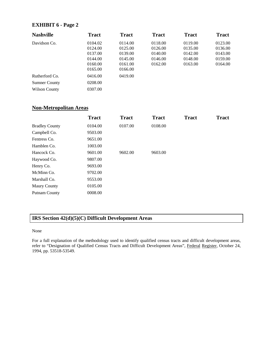#### **EXHIBIT 6 - Page 2**

| <b>Nashville</b>     | <b>Tract</b> | <b>Tract</b> | <b>Tract</b> | <b>Tract</b> | <b>Tract</b> |
|----------------------|--------------|--------------|--------------|--------------|--------------|
| Davidson Co.         | 0104.02      | 0114.00      | 0118.00      | 0119.00      | 0123.00      |
|                      | 0124.00      | 0125.00      | 0126.00      | 0135.00      | 0136.00      |
|                      | 0137.00      | 0139.00      | 0140.00      | 0142.00      | 0143.00      |
|                      | 0144.00      | 0145.00      | 0146.00      | 0148.00      | 0159.00      |
|                      | 0160.00      | 0161.00      | 0162.00      | 0163.00      | 0164.00      |
|                      | 0165.00      | 0166.00      |              |              |              |
| Rutherford Co.       | 0416.00      | 0419.00      |              |              |              |
| <b>Sumner County</b> | 0208.00      |              |              |              |              |
| Wilson County        | 0307.00      |              |              |              |              |

#### **Non-Metropolitan Areas**

|                       | <b>Tract</b> | <b>Tract</b> | <b>Tract</b> | <b>Tract</b> | <b>Tract</b> |
|-----------------------|--------------|--------------|--------------|--------------|--------------|
| <b>Bradley County</b> | 0104.00      | 0107.00      | 0108.00      |              |              |
| Campbell Co.          | 9503.00      |              |              |              |              |
| Fentress Co.          | 9651.00      |              |              |              |              |
| Hamblen Co.           | 1003.00      |              |              |              |              |
| Hancock Co.           | 9601.00      | 9602.00      | 9603.00      |              |              |
| Haywood Co.           | 9807.00      |              |              |              |              |
| Henry Co.             | 9693.00      |              |              |              |              |
| McMinn Co.            | 9702.00      |              |              |              |              |
| Marshall Co.          | 9553.00      |              |              |              |              |
| <b>Maury County</b>   | 0105.00      |              |              |              |              |
| Putnam County         | 0008.00      |              |              |              |              |

#### **IRS Section 42(d)(5)(C) Difficult Development Areas**

None

For a full explanation of the methodology used to identify qualified census tracts and difficult development areas, refer to "Designation of Qualified Census Tracts and Difficult Development Areas", Federal Register, October 24, 1994, pp. 53518-53549.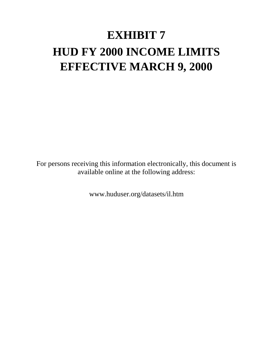# **EXHIBIT 7 HUD FY 2000 INCOME LIMITS EFFECTIVE MARCH 9, 2000**

For persons receiving this information electronically, this document is available online at the following address:

www.huduser.org/datasets/il.htm